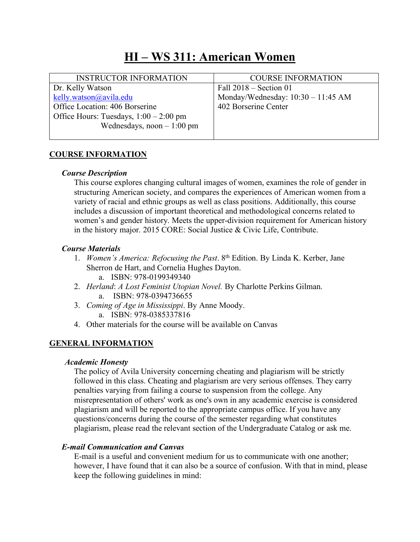# **HI – WS 311: American Women**

| <b>INSTRUCTOR INFORMATION</b>            | <b>COURSE INFORMATION</b>            |
|------------------------------------------|--------------------------------------|
| Dr. Kelly Watson                         | Fall $2018$ – Section 01             |
| kelly.watson@avila.edu                   | Monday/Wednesday: $10:30 - 11:45$ AM |
| Office Location: 406 Borserine           | 402 Borserine Center                 |
| Office Hours: Tuesdays, $1:00 - 2:00$ pm |                                      |
| Wednesdays, noon $-1:00$ pm              |                                      |
|                                          |                                      |

## **COURSE INFORMATION**

### *Course Description*

This course explores changing cultural images of women, examines the role of gender in structuring American society, and compares the experiences of American women from a variety of racial and ethnic groups as well as class positions. Additionally, this course includes a discussion of important theoretical and methodological concerns related to women's and gender history. Meets the upper-division requirement for American history in the history major. 2015 CORE: Social Justice & Civic Life, Contribute.

## *Course Materials*

- 1. *Women's America: Refocusing the Past*. 8th Edition. By Linda K. Kerber, Jane Sherron de Hart, and Cornelia Hughes Dayton. a. ISBN: 978-0199349340
- 2. *Herland*: *A Lost Feminist Utopian Novel.* By Charlotte Perkins Gilman. a. ISBN: 978-0394736655
- 3. *Coming of Age in Mississippi*. By Anne Moody. a. ISBN: 978-0385337816
- 4. Other materials for the course will be available on Canvas

## **GENERAL INFORMATION**

#### *Academic Honesty*

The policy of Avila University concerning cheating and plagiarism will be strictly followed in this class. Cheating and plagiarism are very serious offenses. They carry penalties varying from failing a course to suspension from the college. Any misrepresentation of others' work as one's own in any academic exercise is considered plagiarism and will be reported to the appropriate campus office. If you have any questions/concerns during the course of the semester regarding what constitutes plagiarism, please read the relevant section of the Undergraduate Catalog or ask me.

## *E-mail Communication and Canvas*

E-mail is a useful and convenient medium for us to communicate with one another; however, I have found that it can also be a source of confusion. With that in mind, please keep the following guidelines in mind: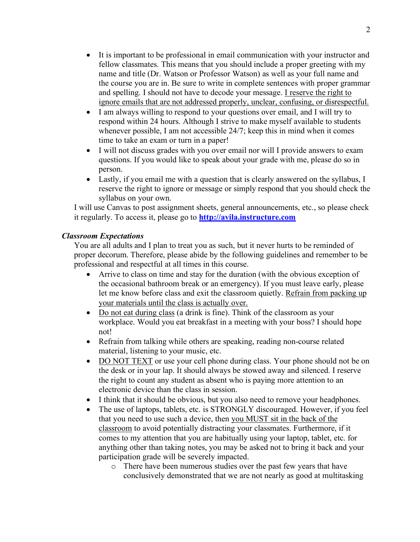- It is important to be professional in email communication with your instructor and fellow classmates. This means that you should include a proper greeting with my name and title (Dr. Watson or Professor Watson) as well as your full name and the course you are in. Be sure to write in complete sentences with proper grammar and spelling. I should not have to decode your message. I reserve the right to ignore emails that are not addressed properly, unclear, confusing, or disrespectful.
- I am always willing to respond to your questions over email, and I will try to respond within 24 hours. Although I strive to make myself available to students whenever possible, I am not accessible 24/7; keep this in mind when it comes time to take an exam or turn in a paper!
- I will not discuss grades with you over email nor will I provide answers to exam questions. If you would like to speak about your grade with me, please do so in person.
- Lastly, if you email me with a question that is clearly answered on the syllabus, I reserve the right to ignore or message or simply respond that you should check the syllabus on your own.

I will use Canvas to post assignment sheets, general announcements, etc., so please check it regularly. To access it, please go to **http://avila.instructure.com**

#### *Classroom Expectations*

You are all adults and I plan to treat you as such, but it never hurts to be reminded of proper decorum. Therefore, please abide by the following guidelines and remember to be professional and respectful at all times in this course.

- Arrive to class on time and stay for the duration (with the obvious exception of the occasional bathroom break or an emergency). If you must leave early, please let me know before class and exit the classroom quietly. Refrain from packing up your materials until the class is actually over.
- Do not eat during class (a drink is fine). Think of the classroom as your workplace. Would you eat breakfast in a meeting with your boss? I should hope not!
- Refrain from talking while others are speaking, reading non-course related material, listening to your music, etc.
- DO NOT TEXT or use your cell phone during class. Your phone should not be on the desk or in your lap. It should always be stowed away and silenced. I reserve the right to count any student as absent who is paying more attention to an electronic device than the class in session.
- I think that it should be obvious, but you also need to remove your headphones.
- The use of laptops, tablets, etc. is STRONGLY discouraged. However, if you feel that you need to use such a device, then you MUST sit in the back of the classroom to avoid potentially distracting your classmates. Furthermore, if it comes to my attention that you are habitually using your laptop, tablet, etc. for anything other than taking notes, you may be asked not to bring it back and your participation grade will be severely impacted.
	- o There have been numerous studies over the past few years that have conclusively demonstrated that we are not nearly as good at multitasking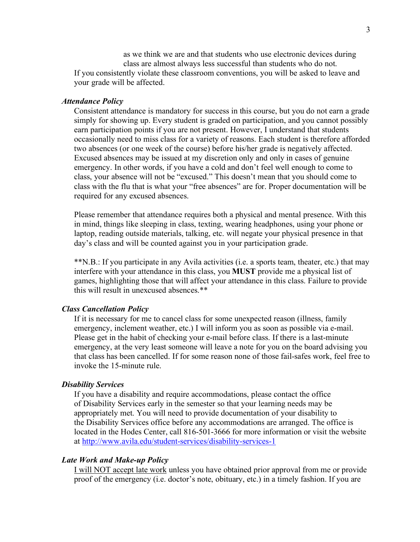as we think we are and that students who use electronic devices during class are almost always less successful than students who do not. If you consistently violate these classroom conventions, you will be asked to leave and your grade will be affected.

#### *Attendance Policy*

Consistent attendance is mandatory for success in this course, but you do not earn a grade simply for showing up. Every student is graded on participation, and you cannot possibly earn participation points if you are not present. However, I understand that students occasionally need to miss class for a variety of reasons. Each student is therefore afforded two absences (or one week of the course) before his/her grade is negatively affected. Excused absences may be issued at my discretion only and only in cases of genuine emergency. In other words, if you have a cold and don't feel well enough to come to class, your absence will not be "excused." This doesn't mean that you should come to class with the flu that is what your "free absences" are for. Proper documentation will be required for any excused absences.

Please remember that attendance requires both a physical and mental presence. With this in mind, things like sleeping in class, texting, wearing headphones, using your phone or laptop, reading outside materials, talking, etc. will negate your physical presence in that day's class and will be counted against you in your participation grade.

\*\*N.B.: If you participate in any Avila activities (i.e. a sports team, theater, etc.) that may interfere with your attendance in this class, you **MUST** provide me a physical list of games, highlighting those that will affect your attendance in this class. Failure to provide this will result in unexcused absences.\*\*

#### *Class Cancellation Policy*

If it is necessary for me to cancel class for some unexpected reason (illness, family emergency, inclement weather, etc.) I will inform you as soon as possible via e-mail. Please get in the habit of checking your e-mail before class. If there is a last-minute emergency, at the very least someone will leave a note for you on the board advising you that class has been cancelled. If for some reason none of those fail-safes work, feel free to invoke the 15-minute rule.

#### *Disability Services*

If you have a disability and require accommodations, please contact the office of Disability Services early in the semester so that your learning needs may be appropriately met. You will need to provide documentation of your disability to the Disability Services office before any accommodations are arranged. The office is located in the Hodes Center, call 816-501-3666 for more information or visit the website at http://www.avila.edu/student-services/disability-services-1

#### *Late Work and Make-up Policy*

I will NOT accept late work unless you have obtained prior approval from me or provide proof of the emergency (i.e. doctor's note, obituary, etc.) in a timely fashion. If you are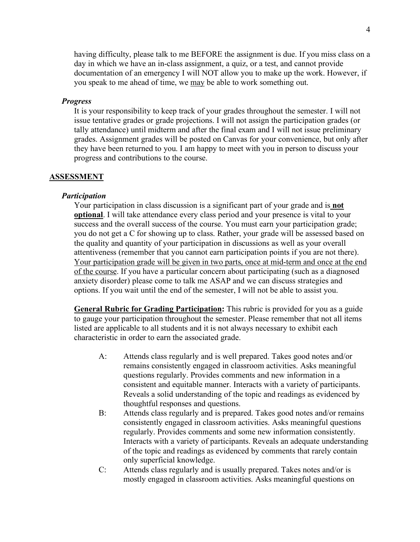having difficulty, please talk to me BEFORE the assignment is due. If you miss class on a day in which we have an in-class assignment, a quiz, or a test, and cannot provide documentation of an emergency I will NOT allow you to make up the work. However, if you speak to me ahead of time, we may be able to work something out.

#### *Progress*

It is your responsibility to keep track of your grades throughout the semester. I will not issue tentative grades or grade projections. I will not assign the participation grades (or tally attendance) until midterm and after the final exam and I will not issue preliminary grades. Assignment grades will be posted on Canvas for your convenience, but only after they have been returned to you. I am happy to meet with you in person to discuss your progress and contributions to the course.

#### **ASSESSMENT**

#### *Participation*

Your participation in class discussion is a significant part of your grade and is **not optional**. I will take attendance every class period and your presence is vital to your success and the overall success of the course. You must earn your participation grade; you do not get a C for showing up to class. Rather, your grade will be assessed based on the quality and quantity of your participation in discussions as well as your overall attentiveness (remember that you cannot earn participation points if you are not there). Your participation grade will be given in two parts, once at mid-term and once at the end of the course. If you have a particular concern about participating (such as a diagnosed anxiety disorder) please come to talk me ASAP and we can discuss strategies and options. If you wait until the end of the semester, I will not be able to assist you.

**General Rubric for Grading Participation:** This rubric is provided for you as a guide to gauge your participation throughout the semester. Please remember that not all items listed are applicable to all students and it is not always necessary to exhibit each characteristic in order to earn the associated grade.

- A: Attends class regularly and is well prepared. Takes good notes and/or remains consistently engaged in classroom activities. Asks meaningful questions regularly. Provides comments and new information in a consistent and equitable manner. Interacts with a variety of participants. Reveals a solid understanding of the topic and readings as evidenced by thoughtful responses and questions.
- B: Attends class regularly and is prepared. Takes good notes and/or remains consistently engaged in classroom activities. Asks meaningful questions regularly. Provides comments and some new information consistently. Interacts with a variety of participants. Reveals an adequate understanding of the topic and readings as evidenced by comments that rarely contain only superficial knowledge.
- C: Attends class regularly and is usually prepared. Takes notes and/or is mostly engaged in classroom activities. Asks meaningful questions on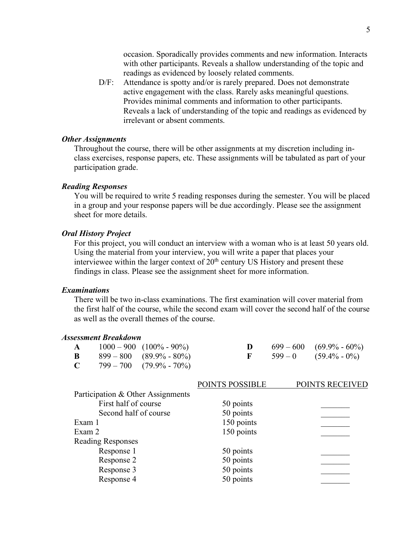occasion. Sporadically provides comments and new information. Interacts with other participants. Reveals a shallow understanding of the topic and readings as evidenced by loosely related comments.

D/F: Attendance is spotty and/or is rarely prepared. Does not demonstrate active engagement with the class. Rarely asks meaningful questions. Provides minimal comments and information to other participants. Reveals a lack of understanding of the topic and readings as evidenced by irrelevant or absent comments.

#### *Other Assignments*

Throughout the course, there will be other assignments at my discretion including inclass exercises, response papers, etc. These assignments will be tabulated as part of your participation grade.

#### *Reading Responses*

You will be required to write 5 reading responses during the semester. You will be placed in a group and your response papers will be due accordingly. Please see the assignment sheet for more details.

#### *Oral History Project*

For this project, you will conduct an interview with a woman who is at least 50 years old. Using the material from your interview, you will write a paper that places your interviewee within the larger context of 20<sup>th</sup> century US History and present these findings in class. Please see the assignment sheet for more information.

#### *Examinations*

There will be two in-class examinations. The first examination will cover material from the first half of the course, while the second exam will cover the second half of the course as well as the overall themes of the course.

#### *Assessment Breakdown*

|  | $\mathbf{A} = 1000 - 900 (100\% - 90\%)$ |  | $699-600$ $(69.9\% - 60\%)$       |
|--|------------------------------------------|--|-----------------------------------|
|  | <b>B</b> $899-800$ $(89.9\% - 80\%)$     |  | <b>F</b> $599-0$ $(59.4\% - 0\%)$ |
|  | <b>C</b> $799-700$ $(79.9\% - 70\%)$     |  |                                   |

|                                   | POINTS POSSIBLE | POINTS RECEIVED |
|-----------------------------------|-----------------|-----------------|
| Participation & Other Assignments |                 |                 |
| First half of course              | 50 points       |                 |
| Second half of course             | 50 points       |                 |
| Exam 1                            | 150 points      |                 |
| Exam 2                            | 150 points      |                 |
| <b>Reading Responses</b>          |                 |                 |
| Response 1                        | 50 points       |                 |
| Response 2                        | 50 points       |                 |
| Response 3                        | 50 points       |                 |
| Response 4                        | 50 points       |                 |
|                                   |                 |                 |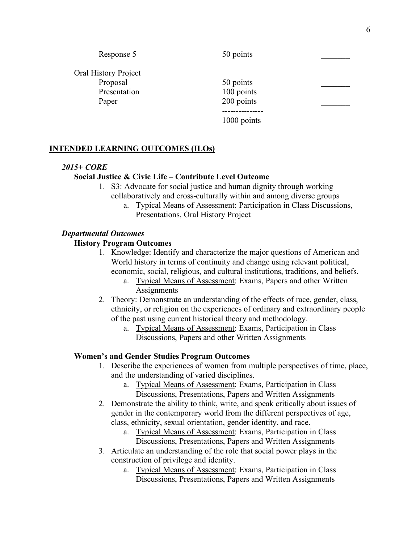| Response 5           | 50 points   |  |
|----------------------|-------------|--|
| Oral History Project |             |  |
| Proposal             | 50 points   |  |
| Presentation         | 100 points  |  |
| Paper                | 200 points  |  |
|                      |             |  |
|                      | 1000 points |  |

### **INTENDED LEARNING OUTCOMES (ILOs)**

#### *2015+ CORE*

#### **Social Justice & Civic Life – Contribute Level Outcome**

- 1. S3: Advocate for social justice and human dignity through working collaboratively and cross-culturally within and among diverse groups
	- a. Typical Means of Assessment: Participation in Class Discussions, Presentations, Oral History Project

#### *Departmental Outcomes*

#### **History Program Outcomes**

- 1. Knowledge: Identify and characterize the major questions of American and World history in terms of continuity and change using relevant political, economic, social, religious, and cultural institutions, traditions, and beliefs.
	- a. Typical Means of Assessment: Exams, Papers and other Written **Assignments**
- 2. Theory: Demonstrate an understanding of the effects of race, gender, class, ethnicity, or religion on the experiences of ordinary and extraordinary people of the past using current historical theory and methodology.
	- a. Typical Means of Assessment: Exams, Participation in Class Discussions, Papers and other Written Assignments

#### **Women's and Gender Studies Program Outcomes**

- 1. Describe the experiences of women from multiple perspectives of time, place, and the understanding of varied disciplines.
	- a. Typical Means of Assessment: Exams, Participation in Class Discussions, Presentations, Papers and Written Assignments
- 2. Demonstrate the ability to think, write, and speak critically about issues of gender in the contemporary world from the different perspectives of age, class, ethnicity, sexual orientation, gender identity, and race.
	- a. Typical Means of Assessment: Exams, Participation in Class Discussions, Presentations, Papers and Written Assignments
- 3. Articulate an understanding of the role that social power plays in the construction of privilege and identity.
	- a. Typical Means of Assessment: Exams, Participation in Class Discussions, Presentations, Papers and Written Assignments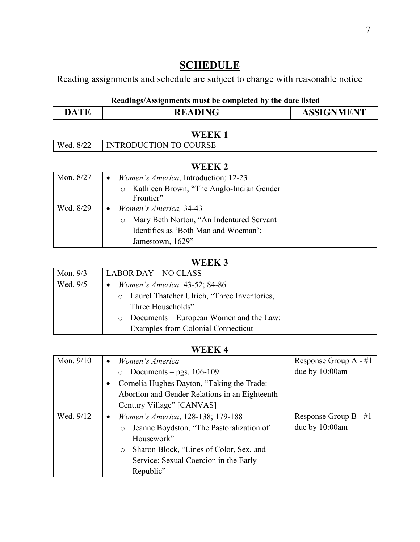# **SCHEDULE**

Reading assignments and schedule are subject to change with reasonable notice

# **Readings/Assignments must be completed by the date listed**

|--|

|           | <b>WEEK</b>                   |
|-----------|-------------------------------|
| Wed. 8/22 | <b>INTRODUCTION TO COURSE</b> |

## **WEEK 2**

| Mon. 8/27 | <i>Women's America</i> , Introduction; 12-23<br>$\bullet$ |
|-----------|-----------------------------------------------------------|
|           | Kathleen Brown, "The Anglo-Indian Gender"<br>$\circ$      |
|           | Frontier"                                                 |
| Wed. 8/29 | Women's America, 34-43<br>$\bullet$                       |
|           | Mary Beth Norton, "An Indentured Servant<br>$\circ$       |
|           | Identifies as 'Both Man and Woeman':                      |
|           | Jamestown, 1629"                                          |

# **WEEK 3**

| Mon. $9/3$ | <b>LABOR DAY – NO CLASS</b>                     |  |
|------------|-------------------------------------------------|--|
| Wed. 9/5   | <i>Women's America, 43-52; 84-86</i>            |  |
|            | o Laurel Thatcher Ulrich, "Three Inventories,   |  |
|            | Three Households"                               |  |
|            | $\circ$ Documents – European Women and the Law: |  |
|            | Examples from Colonial Connecticut              |  |

## **WEEK 4**

| Mon. $9/10$ | Women's America<br>$\bullet$                        | Response Group $A - #1$ |
|-------------|-----------------------------------------------------|-------------------------|
|             | o Documents – pgs. $106-109$                        | due by 10:00am          |
|             | Cornelia Hughes Dayton, "Taking the Trade:          |                         |
|             | Abortion and Gender Relations in an Eighteenth-     |                         |
|             | Century Village" [CANVAS]                           |                         |
| Wed. 9/12   | Women's America, 128-138; 179-188<br>$\bullet$      | Response Group $B - #1$ |
|             | Jeanne Boydston, "The Pastoralization of<br>$\circ$ | due by 10:00am          |
|             | Housework"                                          |                         |
|             | Sharon Block, "Lines of Color, Sex, and<br>$\circ$  |                         |
|             | Service: Sexual Coercion in the Early               |                         |
|             | Republic"                                           |                         |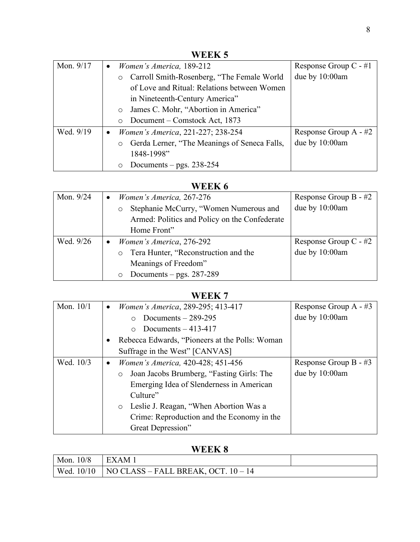| WEEK 5    |                                                         |                         |  |
|-----------|---------------------------------------------------------|-------------------------|--|
| Mon. 9/17 | Women's America, 189-212<br>$\bullet$                   | Response Group $C - #1$ |  |
|           | Carroll Smith-Rosenberg, "The Female World"<br>$\circ$  | due by $10:00$ am       |  |
|           | of Love and Ritual: Relations between Women             |                         |  |
|           | in Nineteenth-Century America"                          |                         |  |
|           | James C. Mohr, "Abortion in America"<br>$\circ$         |                         |  |
|           | Document – Comstock Act, 1873<br>$\bigcirc$             |                         |  |
| Wed. 9/19 | Women's America, 221-227; 238-254<br>$\bullet$          | Response Group $A - #2$ |  |
|           | Gerda Lerner, "The Meanings of Seneca Falls,<br>$\circ$ | due by 10:00am          |  |
|           | 1848-1998"                                              |                         |  |
|           | Documents – pgs. $238-254$<br>$\circ$                   |                         |  |

# **WEEK 6**

| Mon. 9/24 | Women's America, 267-276<br>$\bullet$             | Response Group $B - #2$ |
|-----------|---------------------------------------------------|-------------------------|
|           | Stephanie McCurry, "Women Numerous and<br>$\circ$ | due by 10:00am          |
|           | Armed: Politics and Policy on the Confederate     |                         |
|           | Home Front"                                       |                         |
| Wed. 9/26 | Women's America, 276-292<br>$\bullet$             | Response Group $C - #2$ |
|           | o Tera Hunter, "Reconstruction and the            | due by 10:00am          |
|           | Meanings of Freedom"                              |                         |
|           | Documents – pgs. $287-289$<br>$\circ$             |                         |

# **WEEK 7**

| Mon. 10/1 | Women's America, 289-295; 413-417<br>$\bullet$       | Response Group $A - #3$ |
|-----------|------------------------------------------------------|-------------------------|
|           | Documents $-289-295$<br>$\circ$                      | due by 10:00am          |
|           | Documents $-413-417$<br>$\bigcirc$                   |                         |
|           | Rebecca Edwards, "Pioneers at the Polls: Woman       |                         |
|           | Suffrage in the West" [CANVAS]                       |                         |
| Wed. 10/3 | Women's America, 420-428; 451-456<br>$\bullet$       | Response Group $B - #3$ |
|           | Joan Jacobs Brumberg, "Fasting Girls: The<br>$\circ$ | due by 10:00am          |
|           | Emerging Idea of Slenderness in American             |                         |
|           | Culture"                                             |                         |
|           | o Leslie J. Reagan, "When Abortion Was a             |                         |
|           | Crime: Reproduction and the Economy in the           |                         |
|           | Great Depression"                                    |                         |

# **WEEK 8**

| Mon. $10/8$   EXAM 1 |                                                                |  |
|----------------------|----------------------------------------------------------------|--|
|                      | $\vert$ Wed. 10/10 $\vert$ NO CLASS – FALL BREAK, OCT. 10 – 14 |  |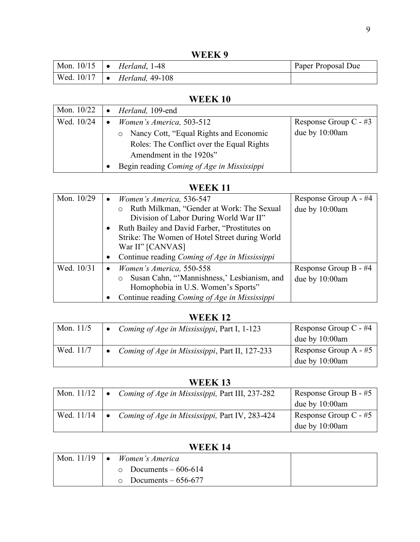**WEEK 9**

| Mon. $10/15$ $\bullet$ | Herland, 1-48                                  | Paper Proposal Due |
|------------------------|------------------------------------------------|--------------------|
|                        | Wed. $10/17$ $\bullet$ <i>Herland</i> , 49-108 |                    |

# **WEEK 10**

| Mon. 10/22 | Herland, 109-end                           |                         |
|------------|--------------------------------------------|-------------------------|
| Wed. 10/24 | Women's America, 503-512                   | Response Group $C - #3$ |
|            | • Nancy Cott, "Equal Rights and Economic   | due by 10:00am          |
|            | Roles: The Conflict over the Equal Rights  |                         |
|            | Amendment in the 1920s"                    |                         |
|            | Begin reading Coming of Age in Mississippi |                         |

## **WEEK 11**

| Mon. 10/29 | Women's America, 536-547<br>$\bullet$          | Response Group A - #4 |
|------------|------------------------------------------------|-----------------------|
|            | o Ruth Milkman, "Gender at Work: The Sexual    | due by 10:00am        |
|            | Division of Labor During World War II"         |                       |
|            | Ruth Bailey and David Farber, "Prostitutes on  |                       |
|            | Strike: The Women of Hotel Street during World |                       |
|            | War II" [CANVAS]                               |                       |
|            | Continue reading Coming of Age in Mississippi  |                       |
| Wed. 10/31 | Women's America, 550-558<br>$\bullet$          | Response Group B - #4 |
|            | o Susan Cahn, "Mannishness,' Lesbianism, and   | due by 10:00am        |
|            | Homophobia in U.S. Women's Sports"             |                       |
|            | Continue reading Coming of Age in Mississippi  |                       |

## **WEEK 12**

| Mon. $11/5$ | Coming of Age in Mississippi, Part I, 1-123    | Response Group C - #4<br>due by 10:00am   |
|-------------|------------------------------------------------|-------------------------------------------|
| Wed. 11/7   | Coming of Age in Mississippi, Part II, 127-233 | Response Group A $-$ #5<br>due by 10:00am |

# **WEEK 13**

| Mon. $11/12$ | Coming of Age in Mississippi, Part III, 237-282 | Response Group B - $#5$ |
|--------------|-------------------------------------------------|-------------------------|
|              |                                                 | due by $10:00$ am       |
| Wed. 11/14   | Coming of Age in Mississippi, Part IV, 283-424  | Response Group C - #5   |
|              |                                                 | due by $10:00$ am       |

# **WEEK 14**

| Mon. $11/19$ $\bullet$ | Women's America             |  |
|------------------------|-----------------------------|--|
|                        | $\circ$ Documents – 606-614 |  |
|                        | $\circ$ Documents – 656-677 |  |